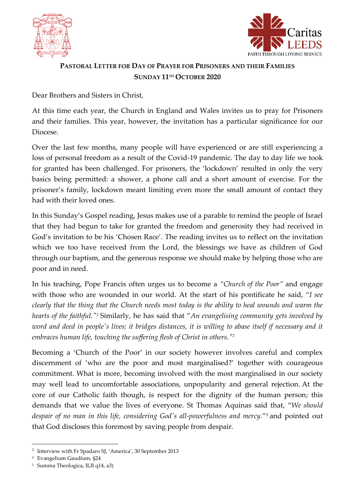



## **PASTORAL LETTER FOR DAY OF PRAYER FOR PRISONERS AND THEIR FAMILIES SUNDAY 11TH OCTOBER 2020**

Dear Brothers and Sisters in Christ,

At this time each year, the Church in England and Wales invites us to pray for Prisoners and their families. This year, however, the invitation has a particular significance for our Diocese.

Over the last few months, many people will have experienced or are still experiencing a loss of personal freedom as a result of the Covid-19 pandemic. The day to day life we took for granted has been challenged. For prisoners, the 'lockdown' resulted in only the very basics being permitted: a shower, a phone call and a short amount of exercise. For the prisoner's family, lockdown meant limiting even more the small amount of contact they had with their loved ones.

In this Sunday's Gospel reading, Jesus makes use of a parable to remind the people of Israel that they had begun to take for granted the freedom and generosity they had received in God's invitation to be his 'Chosen Race'. The reading invites us to reflect on the invitation which we too have received from the Lord, the blessings we have as children of God through our baptism, and the generous response we should make by helping those who are poor and in need.

In his teaching, Pope Francis often urges us to become a *"Church of the Poor"* and engage with those who are wounded in our world. At the start of his pontificate he said, "*I see clearly that the thing that the Church needs most today is the ability to heal wounds and warm the hearts of the faithful." <sup>1</sup>* Similarly, he has said that "*An evangelising community gets involved by word and deed in people's lives; it bridges distances, it is willing to abase itself if necessary and it embraces human life, touching the suffering flesh of Christ in others." 2*

Becoming a 'Church of the Poor' in our society however involves careful and complex discernment of 'who are the poor and most marginalised?' together with courageous commitment. What is more, becoming involved with the most marginalised in our society may well lead to uncomfortable associations, unpopularity and general rejection. At the core of our Catholic faith though, is respect for the dignity of the human person; this demands that we value the lives of everyone. St Thomas Aquinas said that, "*We should despair of no man in this life, considering God's all-powerfulness and mercy.*" <sup>3</sup> and pointed out that God discloses this foremost by saving people from despair*.*

<sup>&</sup>lt;sup>1</sup> Interview with Fr Spadaro SJ, 'America', 30 September 2013

<sup>2</sup> Evangelium Gaudium, §24

<sup>3</sup> Summa Theologica, II,II q14, a3)